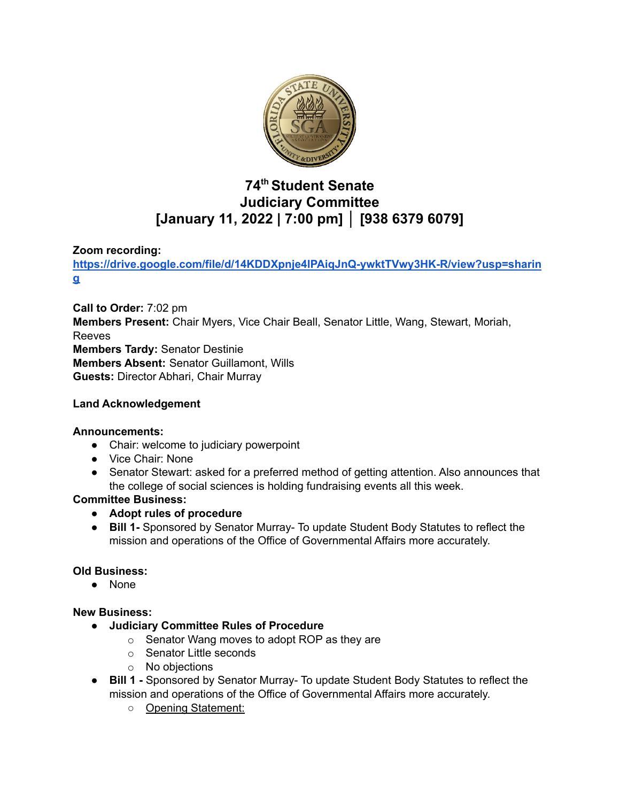

# **74 th Student Senate Judiciary Committee [January 11, 2022 | 7:00 pm] │ [938 6379 6079]**

## **Zoom recording:**

**[https://drive.google.com/file/d/14KDDXpnje4lPAiqJnQ-ywktTVwy3HK-R/view?usp=sharin](https://drive.google.com/file/d/14KDDXpnje4lPAiqJnQ-ywktTVwy3HK-R/view?usp=sharing) [g](https://drive.google.com/file/d/14KDDXpnje4lPAiqJnQ-ywktTVwy3HK-R/view?usp=sharing)**

**Call to Order:** 7:02 pm **Members Present:** Chair Myers, Vice Chair Beall, Senator Little, Wang, Stewart, Moriah, Reeves **Members Tardy:** Senator Destinie **Members Absent:** Senator Guillamont, Wills **Guests:** Director Abhari, Chair Murray

## **Land Acknowledgement**

## **Announcements:**

- Chair: welcome to judiciary powerpoint
- Vice Chair: None
- Senator Stewart: asked for a preferred method of getting attention. Also announces that the college of social sciences is holding fundraising events all this week.

## **Committee Business:**

- **● Adopt rules of procedure**
- **● Bill 1-** Sponsored by Senator Murray- To update Student Body Statutes to reflect the mission and operations of the Office of Governmental Affairs more accurately.

## **Old Business:**

● None

## **New Business:**

- **● Judiciary Committee Rules of Procedure**
	- o Senator Wang moves to adopt ROP as they are
	- o Senator Little seconds
	- o No objections
- **● Bill 1 -** Sponsored by Senator Murray- To update Student Body Statutes to reflect the mission and operations of the Office of Governmental Affairs more accurately.
	- Opening Statement: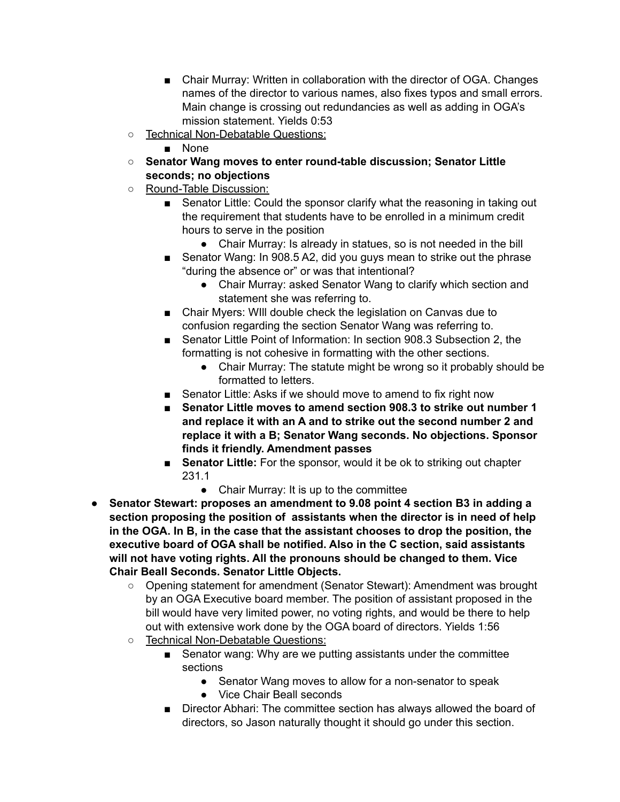- Chair Murray: Written in collaboration with the director of OGA. Changes names of the director to various names, also fixes typos and small errors. Main change is crossing out redundancies as well as adding in OGA's mission statement. Yields 0:53
- Technical Non-Debatable Questions:
	- None
- **○ Senator Wang moves to enter round-table discussion; Senator Little seconds; no objections**
- Round-Table Discussion:
	- Senator Little: Could the sponsor clarify what the reasoning in taking out the requirement that students have to be enrolled in a minimum credit hours to serve in the position
		- Chair Murray: Is already in statues, so is not needed in the bill
	- Senator Wang: In 908.5 A2, did you guys mean to strike out the phrase "during the absence or" or was that intentional?
		- Chair Murray: asked Senator Wang to clarify which section and statement she was referring to.
	- Chair Myers: WIII double check the legislation on Canvas due to confusion regarding the section Senator Wang was referring to.
	- Senator Little Point of Information: In section 908.3 Subsection 2, the formatting is not cohesive in formatting with the other sections.
		- Chair Murray: The statute might be wrong so it probably should be formatted to letters.
	- Senator Little: Asks if we should move to amend to fix right now
	- **■ Senator Little moves to amend section 908.3 to strike out number 1 and replace it with an A and to strike out the second number 2 and replace it with a B; Senator Wang seconds. No objections. Sponsor finds it friendly. Amendment passes**
	- **Senator Little:** For the sponsor, would it be ok to striking out chapter 231.1
		- Chair Murray: It is up to the committee
- **● Senator Stewart: proposes an amendment to 9.08 point 4 section B3 in adding a section proposing the position of assistants when the director is in need of help in the OGA. In B, in the case that the assistant chooses to drop the position, the executive board of OGA shall be notified. Also in the C section, said assistants will not have voting rights. All the pronouns should be changed to them. Vice Chair Beall Seconds. Senator Little Objects.**
	- **○** Opening statement for amendment (Senator Stewart): Amendment was brought by an OGA Executive board member. The position of assistant proposed in the bill would have very limited power, no voting rights, and would be there to help out with extensive work done by the OGA board of directors. Yields 1:56
	- o Technical Non-Debatable Questions:
		- Senator wang: Why are we putting assistants under the committee sections
			- Senator Wang moves to allow for a non-senator to speak
			- Vice Chair Beall seconds
		- Director Abhari: The committee section has always allowed the board of directors, so Jason naturally thought it should go under this section.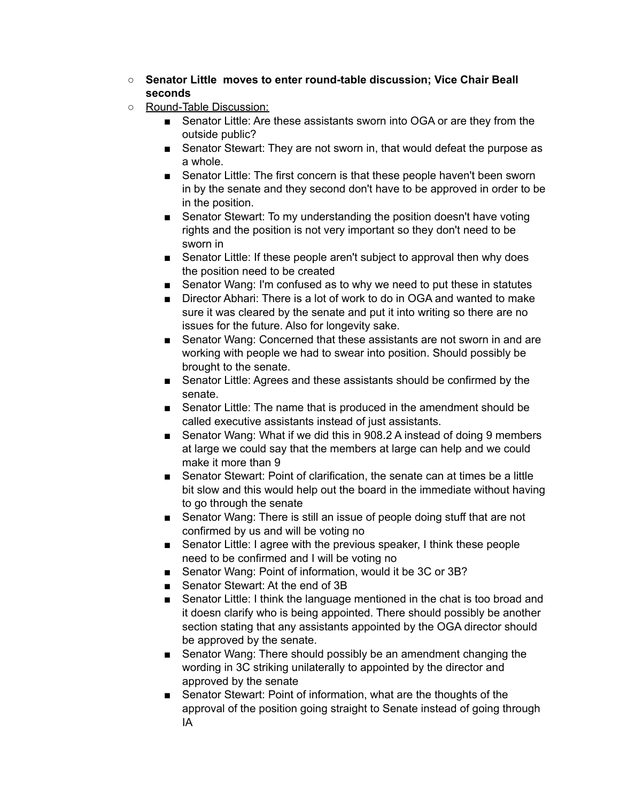- **Senator Little moves to enter round-table discussion; Vice Chair Beall seconds**
- Round-Table Discussion:
	- Senator Little: Are these assistants sworn into OGA or are they from the outside public?
	- Senator Stewart: They are not sworn in, that would defeat the purpose as a whole.
	- Senator Little: The first concern is that these people haven't been sworn in by the senate and they second don't have to be approved in order to be in the position.
	- Senator Stewart: To my understanding the position doesn't have voting rights and the position is not very important so they don't need to be sworn in
	- Senator Little: If these people aren't subject to approval then why does the position need to be created
	- Senator Wang: I'm confused as to why we need to put these in statutes
	- Director Abhari: There is a lot of work to do in OGA and wanted to make sure it was cleared by the senate and put it into writing so there are no issues for the future. Also for longevity sake.
	- Senator Wang: Concerned that these assistants are not sworn in and are working with people we had to swear into position. Should possibly be brought to the senate.
	- Senator Little: Agrees and these assistants should be confirmed by the senate.
	- Senator Little: The name that is produced in the amendment should be called executive assistants instead of just assistants.
	- Senator Wang: What if we did this in 908.2 A instead of doing 9 members at large we could say that the members at large can help and we could make it more than 9
	- Senator Stewart: Point of clarification, the senate can at times be a little bit slow and this would help out the board in the immediate without having to go through the senate
	- Senator Wang: There is still an issue of people doing stuff that are not confirmed by us and will be voting no
	- Senator Little: I agree with the previous speaker, I think these people need to be confirmed and I will be voting no
	- Senator Wang: Point of information, would it be 3C or 3B?
	- Senator Stewart: At the end of 3B
	- Senator Little: I think the language mentioned in the chat is too broad and it doesn clarify who is being appointed. There should possibly be another section stating that any assistants appointed by the OGA director should be approved by the senate.
	- Senator Wang: There should possibly be an amendment changing the wording in 3C striking unilaterally to appointed by the director and approved by the senate
	- Senator Stewart: Point of information, what are the thoughts of the approval of the position going straight to Senate instead of going through IA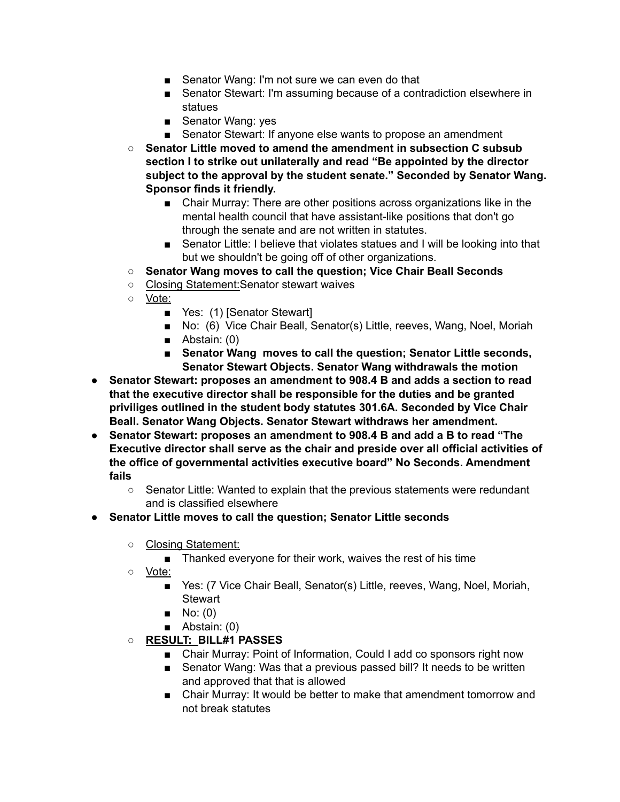- Senator Wang: I'm not sure we can even do that
- Senator Stewart: I'm assuming because of a contradiction elsewhere in statues
- Senator Wang: yes
- Senator Stewart: If anyone else wants to propose an amendment
- **○ Senator Little moved to amend the amendment in subsection C subsub section I to strike out unilaterally and read "Be appointed by the director subject to the approval by the student senate." Seconded by Senator Wang. Sponsor finds it friendly.**
	- Chair Murray: There are other positions across organizations like in the mental health council that have assistant-like positions that don't go through the senate and are not written in statutes.
	- Senator Little: I believe that violates statues and I will be looking into that but we shouldn't be going off of other organizations.
- **○ Senator Wang moves to call the question; Vice Chair Beall Seconds**
- Closing Statement:Senator stewart waives
- Vote:
	- Yes: (1) [Senator Stewart]
	- No: (6) Vice Chair Beall, Senator(s) Little, reeves, Wang, Noel, Moriah
	- Abstain: (0)
	- **Senator Wang moves to call the question; Senator Little seconds, Senator Stewart Objects. Senator Wang withdrawals the motion**
- **● Senator Stewart: proposes an amendment to 908.4 B and adds a section to read that the executive director shall be responsible for the duties and be granted priviliges outlined in the student body statutes 301.6A. Seconded by Vice Chair Beall. Senator Wang Objects. Senator Stewart withdraws her amendment.**
- **● Senator Stewart: proposes an amendment to 908.4 B and add a B to read "The Executive director shall serve as the chair and preside over all official activities of the office of governmental activities executive board" No Seconds. Amendment fails**
	- **○** Senator Little: Wanted to explain that the previous statements were redundant and is classified elsewhere
- **Senator Little moves to call the question; Senator Little seconds**
	- Closing Statement:
		- Thanked everyone for their work, waives the rest of his time
	- Vote:
		- Yes: (7 Vice Chair Beall, Senator(s) Little, reeves, Wang, Noel, Moriah, Stewart
		- $\blacksquare$  No: (0)
		- Abstain: (0)
	- **○ RESULT: BILL#1 PASSES**
		- Chair Murray: Point of Information, Could I add co sponsors right now
		- Senator Wang: Was that a previous passed bill? It needs to be written and approved that that is allowed
		- Chair Murray: It would be better to make that amendment tomorrow and not break statutes